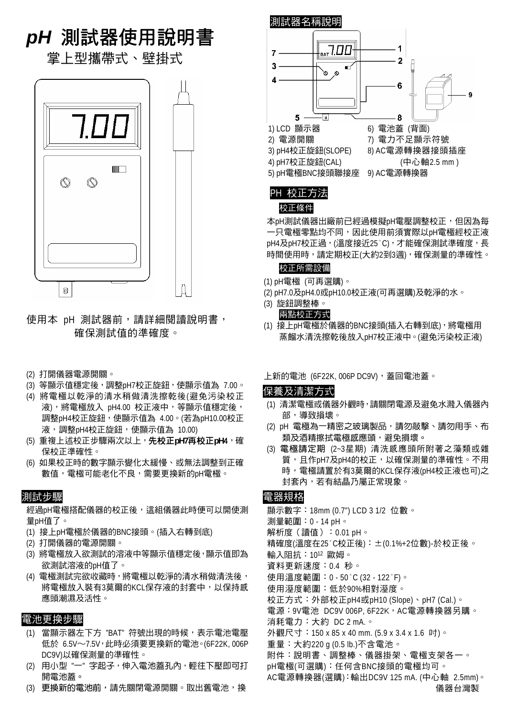# *pH* 測試器使用說明書

掌上型攜帶式、壁掛式



使用本 pH 測試器前,請詳細閱讀說明書, 確保測試值的準確度。

- (2) 打開儀器電源開關。
- (3) 等顯示值穩定後,調整pH7校正旋鈕,使顯示值為 7.00。
- (4) 將電極以乾淨的清水稍做清洗擦乾後(避免污染校正 液),將電極放入 pH4.00 校正液中,等顯示值穩定後, 調整pH4校正旋鈕,使顯示值為 4.00。(若為pH10.00校正 液,調整pH4校正旋鈕,使顯示值為 10.00)
- (5) 重複上述校正步驟兩次以上,先校正**pH7**再校正**pH**4,確 保校正準確性。
- (6) 如果校正時的數字顯示變化太緩慢、或無法調整到正確 數值,電極可能老化不良,需要更換新的pH電極。

## 測試步驟

經過pH電極搭配儀器的校正後,這組儀器此時便可以開使測 量pH值了。

- (1) 接上pH電極於儀器的BNC接頭。(插入右轉到底)
- (2) 打開儀器的電源開關。
- (3) 將電極放入欲測試的溶液中等顯示值穩定後,顯示值即為 欲測試溶液的pH值了。
- (4) 電極測試完欲收藏時,將電極以乾淨的清水稍做清洗後, 將電極放入裝有3莫爾的KCL保存液的封套中,以保持感 應頭潮濕及活性。

## 電池更換步驟

- (1) 當顯示器左下方 "BAT" 符號出現的時候,表示電池電壓 低於 6.5V∼7.5V,此時必須要更換新的電池。(6F22K, 006P DC9V)以確保測量的準確性。
- (2) 用小型 "一"字起子,伸入電池蓋孔內,輕往下壓即可打 開電池蓋。
- (3) 更換新的電池前,請先關閉電源開關。取出舊電池,換



PH 校正方法 校正條件

本pH測試儀器出廠前已經過模擬pH電壓調整校正,但因為每 一只電極零點均不同,因此使用前須實際以pH電極經校正液 pH4及pH7校正過, (溫度接近25°C), 才能確保測試準確度, 長 時間使用時,請定期校正(大約2到3週),確保測量的準確性。

#### 校正所需設備

- (1) pH電極 (可再選購)。
- (2) pH7.0及pH4.0或pH10.0校正液(可再選購)及乾淨的水。
- (3) 旋鈕調整棒。

#### 兩點校正方式

- (1) 接上pH電極於儀器的BNC接頭(插入右轉到底),將電極用 蒸餾水清洗擦乾後放入pH7校正液中。(避免污染校正液)
- 上新的電池 (6F22K, 006P DC9V), 蓋回電池蓋。

## 保養及清潔方式

- (1) 清潔電極或儀器外觀時,請關閉電源及避免水濺入儀器內 部,導致損壞。
- (2) pH 電極為一精密之玻璃製品,請勿敲擊、請勿用手、布 類及酒精擦拭電極感應頭,避免損壞。
- (3) 電極請定期 (2~3星期) 清洗感應頭所附著之藻類或雜 質,且作pH7及pH4的校正,以確保測量的準確性。不用 時,電極請置於有3莫爾的KCL保存液(pH4校正液也可)之 封套內,若有結晶乃屬正常現象。

## 電器規格

顯示數字:18mm (0.7") LCD 3 1/2 位數。 測量範圍:0 - 14 pH。 解析度(讀值):0.01 pH。 精確度(溫度在25°C校正後): ±(0.1%+2位數)-於校正後。 輸入阻抗:1012 歐姆。 資料更新速度:0.4 秒。 使用溫度範圍:0 - 50°C (32 - 122°F)。 使用溼度範圍:低於90%相對溼度。 校正方式:外部校正pH4或pH10 (Slope)、pH7 (Cal.)。 電源:9V電池 DC9V 006P, 6F22K, AC電源轉換器另購。 消耗電力:大約 DC 2 mA.。 外觀尺寸:150 x 85 x 40 mm. (5.9 x 3.4 x 1.6 吋)。 重量:大約220 g (0.5 lb.)不含電池。 附件:說明書、調整棒、儀器掛架、電極支架各一。 pH電極(可選購):任何含BNC接頭的電極均可。 AC電源轉換器(選購):輸出DC9V 125 mA. (中心軸 2.5mm)。 儀器台灣製